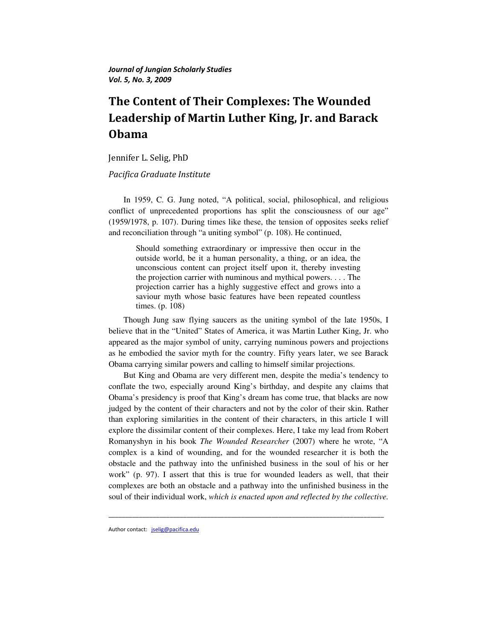Journal of Jungian Scholarly Studies Vol. 5, No. 3, 2009

# The Content of Their Complexes: The Wounded Leadership of Martin Luther King, Jr. and Barack Obama

Jennifer L. Selig, PhD

# Pacifica Graduate Institute

In 1959, C. G. Jung noted, "A political, social, philosophical, and religious conflict of unprecedented proportions has split the consciousness of our age" (1959/1978, p. 107). During times like these, the tension of opposites seeks relief and reconciliation through "a uniting symbol" (p. 108). He continued,

Should something extraordinary or impressive then occur in the outside world, be it a human personality, a thing, or an idea, the unconscious content can project itself upon it, thereby investing the projection carrier with numinous and mythical powers. . . . The projection carrier has a highly suggestive effect and grows into a saviour myth whose basic features have been repeated countless times. (p. 108)

Though Jung saw flying saucers as the uniting symbol of the late 1950s, I believe that in the "United" States of America, it was Martin Luther King, Jr. who appeared as the major symbol of unity, carrying numinous powers and projections as he embodied the savior myth for the country. Fifty years later, we see Barack Obama carrying similar powers and calling to himself similar projections.

But King and Obama are very different men, despite the media's tendency to conflate the two, especially around King's birthday, and despite any claims that Obama's presidency is proof that King's dream has come true, that blacks are now judged by the content of their characters and not by the color of their skin. Rather than exploring similarities in the content of their characters, in this article I will explore the dissimilar content of their complexes. Here, I take my lead from Robert Romanyshyn in his book *The Wounded Researcher* (2007) where he wrote, "A complex is a kind of wounding, and for the wounded researcher it is both the obstacle and the pathway into the unfinished business in the soul of his or her work" (p. 97). I assert that this is true for wounded leaders as well, that their complexes are both an obstacle and a pathway into the unfinished business in the soul of their individual work, *which is enacted upon and reflected by the collective.* 

\_\_\_\_\_\_\_\_\_\_\_\_\_\_\_\_\_\_\_\_\_\_\_\_\_\_\_\_\_\_\_\_\_\_\_\_\_\_\_\_\_\_\_\_\_\_\_\_\_\_\_\_\_\_\_\_\_\_\_\_\_\_\_\_\_\_\_\_\_\_\_\_\_\_\_\_\_\_\_\_\_

Author contact: jselig@pacifica.edu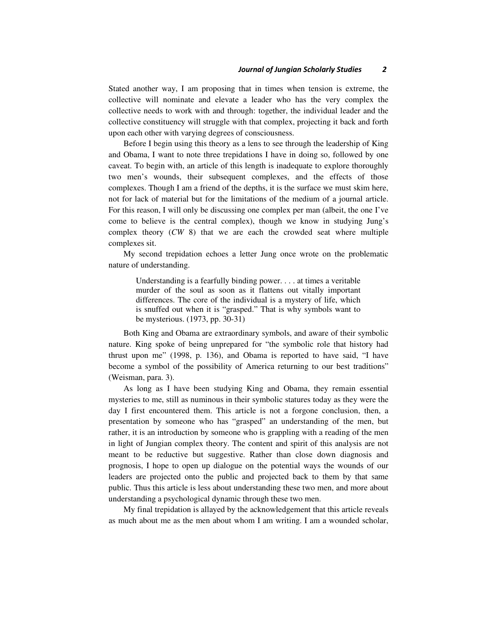Stated another way, I am proposing that in times when tension is extreme, the collective will nominate and elevate a leader who has the very complex the collective needs to work with and through: together, the individual leader and the collective constituency will struggle with that complex, projecting it back and forth upon each other with varying degrees of consciousness.

Before I begin using this theory as a lens to see through the leadership of King and Obama, I want to note three trepidations I have in doing so, followed by one caveat. To begin with, an article of this length is inadequate to explore thoroughly two men's wounds, their subsequent complexes, and the effects of those complexes. Though I am a friend of the depths, it is the surface we must skim here, not for lack of material but for the limitations of the medium of a journal article. For this reason, I will only be discussing one complex per man (albeit, the one I've come to believe is the central complex), though we know in studying Jung's complex theory (*CW* 8) that we are each the crowded seat where multiple complexes sit.

My second trepidation echoes a letter Jung once wrote on the problematic nature of understanding.

Understanding is a fearfully binding power. . . . at times a veritable murder of the soul as soon as it flattens out vitally important differences. The core of the individual is a mystery of life, which is snuffed out when it is "grasped." That is why symbols want to be mysterious. (1973, pp. 30-31)

Both King and Obama are extraordinary symbols, and aware of their symbolic nature. King spoke of being unprepared for "the symbolic role that history had thrust upon me" (1998, p. 136), and Obama is reported to have said, "I have become a symbol of the possibility of America returning to our best traditions" (Weisman, para. 3).

As long as I have been studying King and Obama, they remain essential mysteries to me, still as numinous in their symbolic statures today as they were the day I first encountered them. This article is not a forgone conclusion, then, a presentation by someone who has "grasped" an understanding of the men, but rather, it is an introduction by someone who is grappling with a reading of the men in light of Jungian complex theory. The content and spirit of this analysis are not meant to be reductive but suggestive. Rather than close down diagnosis and prognosis, I hope to open up dialogue on the potential ways the wounds of our leaders are projected onto the public and projected back to them by that same public. Thus this article is less about understanding these two men, and more about understanding a psychological dynamic through these two men.

My final trepidation is allayed by the acknowledgement that this article reveals as much about me as the men about whom I am writing. I am a wounded scholar,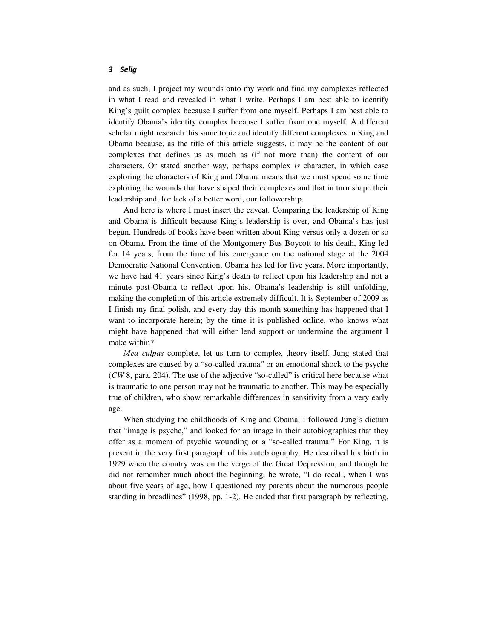and as such, I project my wounds onto my work and find my complexes reflected in what I read and revealed in what I write. Perhaps I am best able to identify King's guilt complex because I suffer from one myself. Perhaps I am best able to identify Obama's identity complex because I suffer from one myself. A different scholar might research this same topic and identify different complexes in King and Obama because, as the title of this article suggests, it may be the content of our complexes that defines us as much as (if not more than) the content of our characters. Or stated another way, perhaps complex *is* character, in which case exploring the characters of King and Obama means that we must spend some time exploring the wounds that have shaped their complexes and that in turn shape their leadership and, for lack of a better word, our followership.

And here is where I must insert the caveat. Comparing the leadership of King and Obama is difficult because King's leadership is over, and Obama's has just begun. Hundreds of books have been written about King versus only a dozen or so on Obama. From the time of the Montgomery Bus Boycott to his death, King led for 14 years; from the time of his emergence on the national stage at the 2004 Democratic National Convention, Obama has led for five years. More importantly, we have had 41 years since King's death to reflect upon his leadership and not a minute post-Obama to reflect upon his. Obama's leadership is still unfolding, making the completion of this article extremely difficult. It is September of 2009 as I finish my final polish, and every day this month something has happened that I want to incorporate herein; by the time it is published online, who knows what might have happened that will either lend support or undermine the argument I make within?

*Mea culpas* complete, let us turn to complex theory itself. Jung stated that complexes are caused by a "so-called trauma" or an emotional shock to the psyche (*CW* 8, para. 204). The use of the adjective "so-called" is critical here because what is traumatic to one person may not be traumatic to another. This may be especially true of children, who show remarkable differences in sensitivity from a very early age.

When studying the childhoods of King and Obama, I followed Jung's dictum that "image is psyche," and looked for an image in their autobiographies that they offer as a moment of psychic wounding or a "so-called trauma." For King, it is present in the very first paragraph of his autobiography. He described his birth in 1929 when the country was on the verge of the Great Depression, and though he did not remember much about the beginning, he wrote, "I do recall, when I was about five years of age, how I questioned my parents about the numerous people standing in breadlines" (1998, pp. 1-2). He ended that first paragraph by reflecting,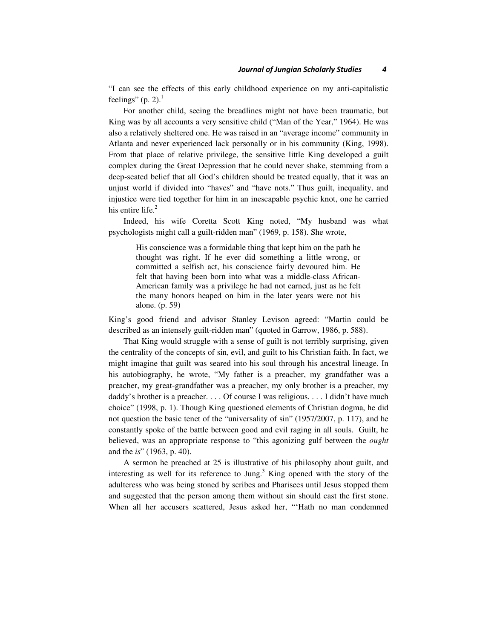"I can see the effects of this early childhood experience on my anti-capitalistic feelings" (p. 2). $1$ 

For another child, seeing the breadlines might not have been traumatic, but King was by all accounts a very sensitive child ("Man of the Year," 1964). He was also a relatively sheltered one. He was raised in an "average income" community in Atlanta and never experienced lack personally or in his community (King, 1998). From that place of relative privilege, the sensitive little King developed a guilt complex during the Great Depression that he could never shake, stemming from a deep-seated belief that all God's children should be treated equally, that it was an unjust world if divided into "haves" and "have nots." Thus guilt, inequality, and injustice were tied together for him in an inescapable psychic knot, one he carried his entire life. $2$ 

Indeed, his wife Coretta Scott King noted, "My husband was what psychologists might call a guilt-ridden man" (1969, p. 158). She wrote,

His conscience was a formidable thing that kept him on the path he thought was right. If he ever did something a little wrong, or committed a selfish act, his conscience fairly devoured him. He felt that having been born into what was a middle-class African-American family was a privilege he had not earned, just as he felt the many honors heaped on him in the later years were not his alone. (p. 59)

King's good friend and advisor Stanley Levison agreed: "Martin could be described as an intensely guilt-ridden man" (quoted in Garrow, 1986, p. 588).

That King would struggle with a sense of guilt is not terribly surprising, given the centrality of the concepts of sin, evil, and guilt to his Christian faith. In fact, we might imagine that guilt was seared into his soul through his ancestral lineage. In his autobiography, he wrote, "My father is a preacher, my grandfather was a preacher, my great-grandfather was a preacher, my only brother is a preacher, my daddy's brother is a preacher. . . . Of course I was religious. . . . I didn't have much choice" (1998, p. 1). Though King questioned elements of Christian dogma, he did not question the basic tenet of the "universality of sin" (1957/2007, p. 117), and he constantly spoke of the battle between good and evil raging in all souls. Guilt, he believed, was an appropriate response to "this agonizing gulf between the *ought*  and the *is*" (1963, p. 40).

A sermon he preached at 25 is illustrative of his philosophy about guilt, and interesting as well for its reference to Jung.<sup>3</sup> King opened with the story of the adulteress who was being stoned by scribes and Pharisees until Jesus stopped them and suggested that the person among them without sin should cast the first stone. When all her accusers scattered, Jesus asked her, "'Hath no man condemned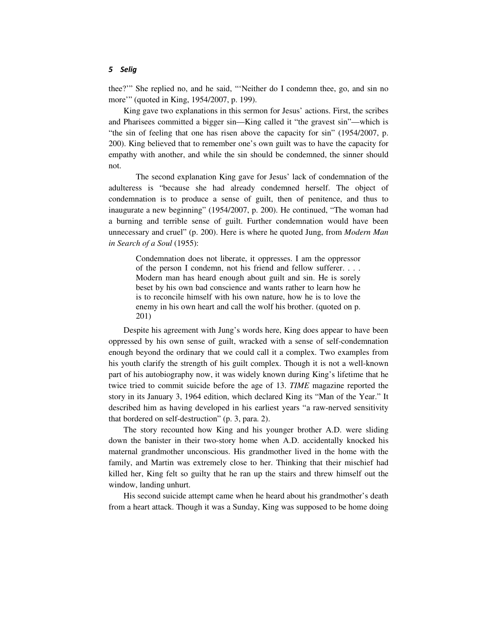thee?'" She replied no, and he said, "'Neither do I condemn thee, go, and sin no more'" (quoted in King, 1954/2007, p. 199).

King gave two explanations in this sermon for Jesus' actions. First, the scribes and Pharisees committed a bigger sin—King called it "the gravest sin"—which is "the sin of feeling that one has risen above the capacity for sin" (1954/2007, p. 200). King believed that to remember one's own guilt was to have the capacity for empathy with another, and while the sin should be condemned, the sinner should not.

 The second explanation King gave for Jesus' lack of condemnation of the adulteress is "because she had already condemned herself. The object of condemnation is to produce a sense of guilt, then of penitence, and thus to inaugurate a new beginning" (1954/2007, p. 200). He continued, "The woman had a burning and terrible sense of guilt. Further condemnation would have been unnecessary and cruel" (p. 200). Here is where he quoted Jung, from *Modern Man in Search of a Soul* (1955):

Condemnation does not liberate, it oppresses. I am the oppressor of the person I condemn, not his friend and fellow sufferer. . . . Modern man has heard enough about guilt and sin. He is sorely beset by his own bad conscience and wants rather to learn how he is to reconcile himself with his own nature, how he is to love the enemy in his own heart and call the wolf his brother. (quoted on p. 201)

Despite his agreement with Jung's words here, King does appear to have been oppressed by his own sense of guilt, wracked with a sense of self-condemnation enough beyond the ordinary that we could call it a complex. Two examples from his youth clarify the strength of his guilt complex. Though it is not a well-known part of his autobiography now, it was widely known during King's lifetime that he twice tried to commit suicide before the age of 13. *TIME* magazine reported the story in its January 3, 1964 edition, which declared King its "Man of the Year." It described him as having developed in his earliest years "a raw-nerved sensitivity that bordered on self-destruction" (p. 3, para. 2).

The story recounted how King and his younger brother A.D. were sliding down the banister in their two-story home when A.D. accidentally knocked his maternal grandmother unconscious. His grandmother lived in the home with the family, and Martin was extremely close to her. Thinking that their mischief had killed her, King felt so guilty that he ran up the stairs and threw himself out the window, landing unhurt.

His second suicide attempt came when he heard about his grandmother's death from a heart attack. Though it was a Sunday, King was supposed to be home doing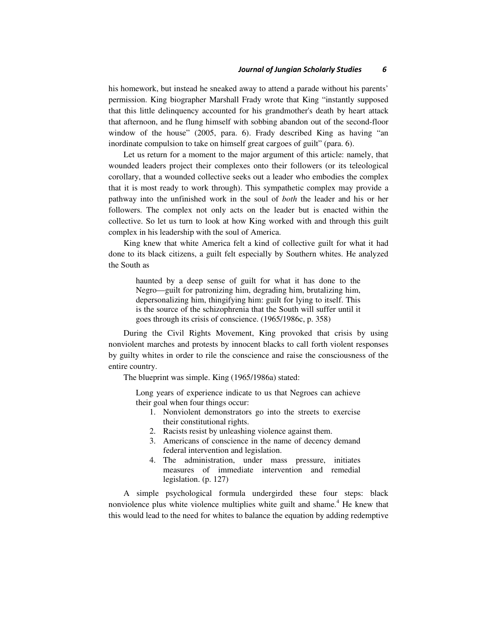his homework, but instead he sneaked away to attend a parade without his parents' permission. King biographer Marshall Frady wrote that King "instantly supposed that this little delinquency accounted for his grandmother's death by heart attack that afternoon, and he flung himself with sobbing abandon out of the second-floor window of the house" (2005, para. 6). Frady described King as having "an inordinate compulsion to take on himself great cargoes of guilt" (para. 6).

Let us return for a moment to the major argument of this article: namely, that wounded leaders project their complexes onto their followers (or its teleological corollary, that a wounded collective seeks out a leader who embodies the complex that it is most ready to work through). This sympathetic complex may provide a pathway into the unfinished work in the soul of *both* the leader and his or her followers. The complex not only acts on the leader but is enacted within the collective. So let us turn to look at how King worked with and through this guilt complex in his leadership with the soul of America.

King knew that white America felt a kind of collective guilt for what it had done to its black citizens, a guilt felt especially by Southern whites. He analyzed the South as

haunted by a deep sense of guilt for what it has done to the Negro—guilt for patronizing him, degrading him, brutalizing him, depersonalizing him, thingifying him: guilt for lying to itself. This is the source of the schizophrenia that the South will suffer until it goes through its crisis of conscience. (1965/1986c, p. 358)

During the Civil Rights Movement, King provoked that crisis by using nonviolent marches and protests by innocent blacks to call forth violent responses by guilty whites in order to rile the conscience and raise the consciousness of the entire country.

The blueprint was simple. King (1965/1986a) stated:

Long years of experience indicate to us that Negroes can achieve their goal when four things occur:

- 1. Nonviolent demonstrators go into the streets to exercise their constitutional rights.
- 2. Racists resist by unleashing violence against them.
- 3. Americans of conscience in the name of decency demand federal intervention and legislation.
- 4. The administration, under mass pressure, initiates measures of immediate intervention and remedial legislation. (p. 127)

A simple psychological formula undergirded these four steps: black nonviolence plus white violence multiplies white guilt and shame.<sup>4</sup> He knew that this would lead to the need for whites to balance the equation by adding redemptive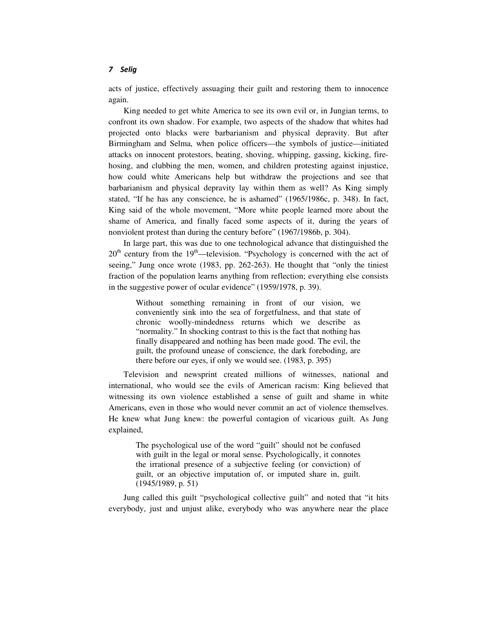acts of justice, effectively assuaging their guilt and restoring them to innocence again.

King needed to get white America to see its own evil or, in Jungian terms, to confront its own shadow. For example, two aspects of the shadow that whites had projected onto blacks were barbarianism and physical depravity. But after Birmingham and Selma, when police officers—the symbols of justice—initiated attacks on innocent protestors, beating, shoving, whipping, gassing, kicking, firehosing, and clubbing the men, women, and children protesting against injustice, how could white Americans help but withdraw the projections and see that barbarianism and physical depravity lay within them as well? As King simply stated, "If he has any conscience, he is ashamed" (1965/1986c, p. 348). In fact, King said of the whole movement, "More white people learned more about the shame of America, and finally faced some aspects of it, during the years of nonviolent protest than during the century before" (1967/1986b, p. 304).

In large part, this was due to one technological advance that distinguished the  $20<sup>th</sup>$  century from the 19<sup>th</sup>—television. "Psychology is concerned with the act of seeing," Jung once wrote (1983, pp. 262-263). He thought that "only the tiniest fraction of the population learns anything from reflection; everything else consists in the suggestive power of ocular evidence" (1959/1978, p. 39).

Without something remaining in front of our vision, we conveniently sink into the sea of forgetfulness, and that state of chronic woolly-mindedness returns which we describe as "normality." In shocking contrast to this is the fact that nothing has finally disappeared and nothing has been made good. The evil, the guilt, the profound unease of conscience, the dark foreboding, are there before our eyes, if only we would see. (1983, p. 395)

Television and newsprint created millions of witnesses, national and international, who would see the evils of American racism: King believed that witnessing its own violence established a sense of guilt and shame in white Americans, even in those who would never commit an act of violence themselves. He knew what Jung knew: the powerful contagion of vicarious guilt. As Jung explained,

The psychological use of the word "guilt" should not be confused with guilt in the legal or moral sense. Psychologically, it connotes the irrational presence of a subjective feeling (or conviction) of guilt, or an objective imputation of, or imputed share in, guilt. (1945/1989, p. 51)

Jung called this guilt "psychological collective guilt" and noted that "it hits everybody, just and unjust alike, everybody who was anywhere near the place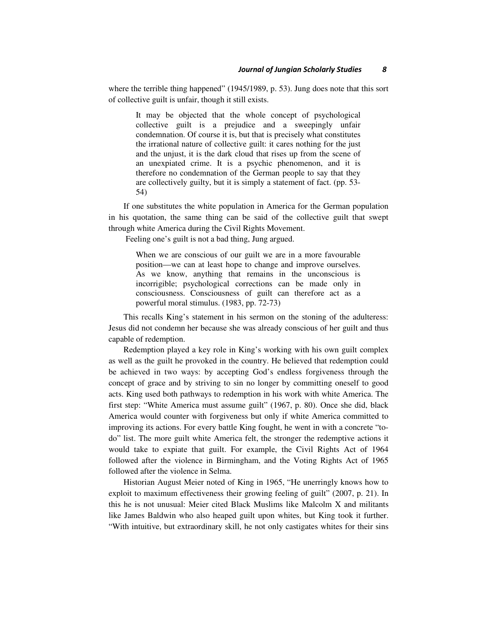where the terrible thing happened" (1945/1989, p. 53). Jung does note that this sort of collective guilt is unfair, though it still exists.

It may be objected that the whole concept of psychological collective guilt is a prejudice and a sweepingly unfair condemnation. Of course it is, but that is precisely what constitutes the irrational nature of collective guilt: it cares nothing for the just and the unjust, it is the dark cloud that rises up from the scene of an unexpiated crime. It is a psychic phenomenon, and it is therefore no condemnation of the German people to say that they are collectively guilty, but it is simply a statement of fact. (pp. 53- 54)

If one substitutes the white population in America for the German population in his quotation, the same thing can be said of the collective guilt that swept through white America during the Civil Rights Movement.

Feeling one's guilt is not a bad thing, Jung argued.

When we are conscious of our guilt we are in a more favourable position—we can at least hope to change and improve ourselves. As we know, anything that remains in the unconscious is incorrigible; psychological corrections can be made only in consciousness. Consciousness of guilt can therefore act as a powerful moral stimulus. (1983, pp. 72-73)

This recalls King's statement in his sermon on the stoning of the adulteress: Jesus did not condemn her because she was already conscious of her guilt and thus capable of redemption.

Redemption played a key role in King's working with his own guilt complex as well as the guilt he provoked in the country. He believed that redemption could be achieved in two ways: by accepting God's endless forgiveness through the concept of grace and by striving to sin no longer by committing oneself to good acts. King used both pathways to redemption in his work with white America. The first step: "White America must assume guilt" (1967, p. 80). Once she did, black America would counter with forgiveness but only if white America committed to improving its actions. For every battle King fought, he went in with a concrete "todo" list. The more guilt white America felt, the stronger the redemptive actions it would take to expiate that guilt. For example, the Civil Rights Act of 1964 followed after the violence in Birmingham, and the Voting Rights Act of 1965 followed after the violence in Selma.

Historian August Meier noted of King in 1965, "He unerringly knows how to exploit to maximum effectiveness their growing feeling of guilt" (2007, p. 21). In this he is not unusual: Meier cited Black Muslims like Malcolm X and militants like James Baldwin who also heaped guilt upon whites, but King took it further. "With intuitive, but extraordinary skill, he not only castigates whites for their sins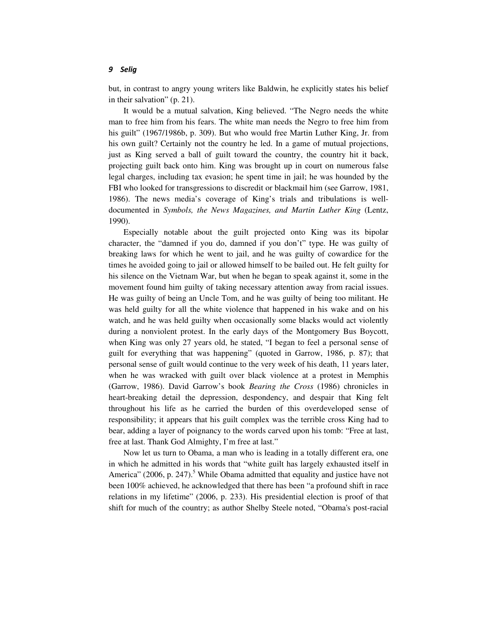but, in contrast to angry young writers like Baldwin, he explicitly states his belief in their salvation" (p. 21).

It would be a mutual salvation, King believed. "The Negro needs the white man to free him from his fears. The white man needs the Negro to free him from his guilt" (1967/1986b, p. 309). But who would free Martin Luther King, Jr. from his own guilt? Certainly not the country he led. In a game of mutual projections, just as King served a ball of guilt toward the country, the country hit it back, projecting guilt back onto him. King was brought up in court on numerous false legal charges, including tax evasion; he spent time in jail; he was hounded by the FBI who looked for transgressions to discredit or blackmail him (see Garrow, 1981, 1986). The news media's coverage of King's trials and tribulations is welldocumented in *Symbols, the News Magazines, and Martin Luther King* (Lentz, 1990).

Especially notable about the guilt projected onto King was its bipolar character, the "damned if you do, damned if you don't" type. He was guilty of breaking laws for which he went to jail, and he was guilty of cowardice for the times he avoided going to jail or allowed himself to be bailed out. He felt guilty for his silence on the Vietnam War, but when he began to speak against it, some in the movement found him guilty of taking necessary attention away from racial issues. He was guilty of being an Uncle Tom, and he was guilty of being too militant. He was held guilty for all the white violence that happened in his wake and on his watch, and he was held guilty when occasionally some blacks would act violently during a nonviolent protest. In the early days of the Montgomery Bus Boycott, when King was only 27 years old, he stated, "I began to feel a personal sense of guilt for everything that was happening" (quoted in Garrow, 1986, p. 87); that personal sense of guilt would continue to the very week of his death, 11 years later, when he was wracked with guilt over black violence at a protest in Memphis (Garrow, 1986). David Garrow's book *Bearing the Cross* (1986) chronicles in heart-breaking detail the depression, despondency, and despair that King felt throughout his life as he carried the burden of this overdeveloped sense of responsibility; it appears that his guilt complex was the terrible cross King had to bear, adding a layer of poignancy to the words carved upon his tomb: "Free at last, free at last. Thank God Almighty, I'm free at last."

Now let us turn to Obama, a man who is leading in a totally different era, one in which he admitted in his words that "white guilt has largely exhausted itself in America" (2006, p. 247).<sup>5</sup> While Obama admitted that equality and justice have not been 100% achieved, he acknowledged that there has been "a profound shift in race relations in my lifetime" (2006, p. 233). His presidential election is proof of that shift for much of the country; as author Shelby Steele noted, "Obama's post-racial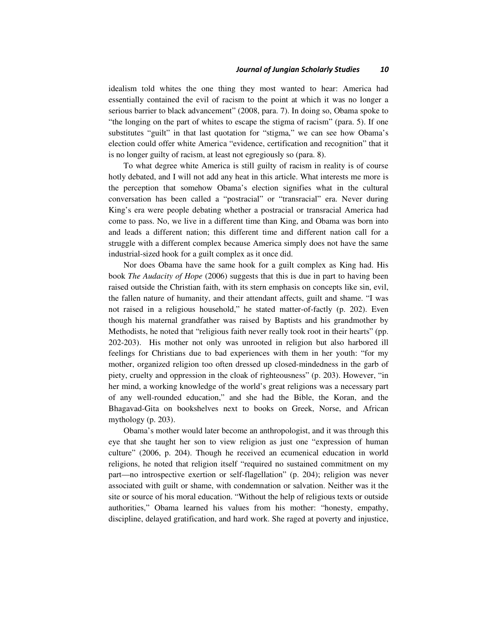idealism told whites the one thing they most wanted to hear: America had essentially contained the evil of racism to the point at which it was no longer a serious barrier to black advancement" (2008, para. 7). In doing so, Obama spoke to "the longing on the part of whites to escape the stigma of racism" (para. 5). If one substitutes "guilt" in that last quotation for "stigma," we can see how Obama's election could offer white America "evidence, certification and recognition" that it is no longer guilty of racism, at least not egregiously so (para. 8).

To what degree white America is still guilty of racism in reality is of course hotly debated, and I will not add any heat in this article. What interests me more is the perception that somehow Obama's election signifies what in the cultural conversation has been called a "postracial" or "transracial" era. Never during King's era were people debating whether a postracial or transracial America had come to pass. No, we live in a different time than King, and Obama was born into and leads a different nation; this different time and different nation call for a struggle with a different complex because America simply does not have the same industrial-sized hook for a guilt complex as it once did.

Nor does Obama have the same hook for a guilt complex as King had. His book *The Audacity of Hope* (2006) suggests that this is due in part to having been raised outside the Christian faith, with its stern emphasis on concepts like sin, evil, the fallen nature of humanity, and their attendant affects, guilt and shame. "I was not raised in a religious household," he stated matter-of-factly (p. 202). Even though his maternal grandfather was raised by Baptists and his grandmother by Methodists, he noted that "religious faith never really took root in their hearts" (pp. 202-203). His mother not only was unrooted in religion but also harbored ill feelings for Christians due to bad experiences with them in her youth: "for my mother, organized religion too often dressed up closed-mindedness in the garb of piety, cruelty and oppression in the cloak of righteousness" (p. 203). However, "in her mind, a working knowledge of the world's great religions was a necessary part of any well-rounded education," and she had the Bible, the Koran, and the Bhagavad-Gita on bookshelves next to books on Greek, Norse, and African mythology (p. 203).

Obama's mother would later become an anthropologist, and it was through this eye that she taught her son to view religion as just one "expression of human culture" (2006, p. 204). Though he received an ecumenical education in world religions, he noted that religion itself "required no sustained commitment on my part—no introspective exertion or self-flagellation" (p. 204); religion was never associated with guilt or shame, with condemnation or salvation. Neither was it the site or source of his moral education. "Without the help of religious texts or outside authorities," Obama learned his values from his mother: "honesty, empathy, discipline, delayed gratification, and hard work. She raged at poverty and injustice,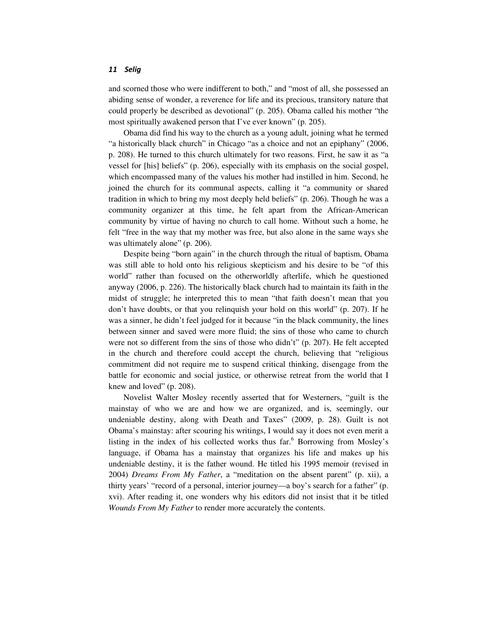and scorned those who were indifferent to both," and "most of all, she possessed an abiding sense of wonder, a reverence for life and its precious, transitory nature that could properly be described as devotional" (p. 205). Obama called his mother "the most spiritually awakened person that I've ever known" (p. 205).

Obama did find his way to the church as a young adult, joining what he termed "a historically black church" in Chicago "as a choice and not an epiphany" (2006, p. 208). He turned to this church ultimately for two reasons. First, he saw it as "a vessel for [his] beliefs" (p. 206), especially with its emphasis on the social gospel, which encompassed many of the values his mother had instilled in him. Second, he joined the church for its communal aspects, calling it "a community or shared tradition in which to bring my most deeply held beliefs" (p. 206). Though he was a community organizer at this time, he felt apart from the African-American community by virtue of having no church to call home. Without such a home, he felt "free in the way that my mother was free, but also alone in the same ways she was ultimately alone" (p. 206).

Despite being "born again" in the church through the ritual of baptism, Obama was still able to hold onto his religious skepticism and his desire to be "of this world" rather than focused on the otherworldly afterlife, which he questioned anyway (2006, p. 226). The historically black church had to maintain its faith in the midst of struggle; he interpreted this to mean "that faith doesn't mean that you don't have doubts, or that you relinquish your hold on this world" (p. 207). If he was a sinner, he didn't feel judged for it because "in the black community, the lines between sinner and saved were more fluid; the sins of those who came to church were not so different from the sins of those who didn't" (p. 207). He felt accepted in the church and therefore could accept the church, believing that "religious commitment did not require me to suspend critical thinking, disengage from the battle for economic and social justice, or otherwise retreat from the world that I knew and loved" (p. 208).

Novelist Walter Mosley recently asserted that for Westerners, "guilt is the mainstay of who we are and how we are organized, and is, seemingly, our undeniable destiny, along with Death and Taxes" (2009, p. 28). Guilt is not Obama's mainstay: after scouring his writings, I would say it does not even merit a listing in the index of his collected works thus far.<sup>6</sup> Borrowing from Mosley's language, if Obama has a mainstay that organizes his life and makes up his undeniable destiny, it is the father wound. He titled his 1995 memoir (revised in 2004) *Dreams From My Father*, a "meditation on the absent parent" (p. xii), a thirty years' "record of a personal, interior journey—a boy's search for a father" (p. xvi). After reading it, one wonders why his editors did not insist that it be titled *Wounds From My Father* to render more accurately the contents.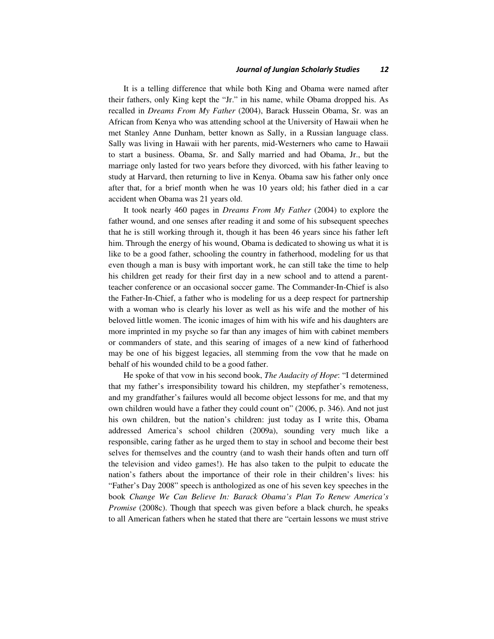#### Journal of Jungian Scholarly Studies 12

It is a telling difference that while both King and Obama were named after their fathers, only King kept the "Jr." in his name, while Obama dropped his. As recalled in *Dreams From My Father* (2004), Barack Hussein Obama, Sr. was an African from Kenya who was attending school at the University of Hawaii when he met Stanley Anne Dunham, better known as Sally, in a Russian language class. Sally was living in Hawaii with her parents, mid-Westerners who came to Hawaii to start a business. Obama, Sr. and Sally married and had Obama, Jr., but the marriage only lasted for two years before they divorced, with his father leaving to study at Harvard, then returning to live in Kenya. Obama saw his father only once after that, for a brief month when he was 10 years old; his father died in a car accident when Obama was 21 years old.

It took nearly 460 pages in *Dreams From My Father* (2004) to explore the father wound, and one senses after reading it and some of his subsequent speeches that he is still working through it, though it has been 46 years since his father left him. Through the energy of his wound, Obama is dedicated to showing us what it is like to be a good father, schooling the country in fatherhood, modeling for us that even though a man is busy with important work, he can still take the time to help his children get ready for their first day in a new school and to attend a parentteacher conference or an occasional soccer game. The Commander-In-Chief is also the Father-In-Chief, a father who is modeling for us a deep respect for partnership with a woman who is clearly his lover as well as his wife and the mother of his beloved little women. The iconic images of him with his wife and his daughters are more imprinted in my psyche so far than any images of him with cabinet members or commanders of state, and this searing of images of a new kind of fatherhood may be one of his biggest legacies, all stemming from the vow that he made on behalf of his wounded child to be a good father.

He spoke of that vow in his second book, *The Audacity of Hope*: "I determined that my father's irresponsibility toward his children, my stepfather's remoteness, and my grandfather's failures would all become object lessons for me, and that my own children would have a father they could count on" (2006, p. 346). And not just his own children, but the nation's children: just today as I write this, Obama addressed America's school children (2009a), sounding very much like a responsible, caring father as he urged them to stay in school and become their best selves for themselves and the country (and to wash their hands often and turn off the television and video games!). He has also taken to the pulpit to educate the nation's fathers about the importance of their role in their children's lives: his "Father's Day 2008" speech is anthologized as one of his seven key speeches in the book *Change We Can Believe In: Barack Obama's Plan To Renew America's Promise* (2008c). Though that speech was given before a black church, he speaks to all American fathers when he stated that there are "certain lessons we must strive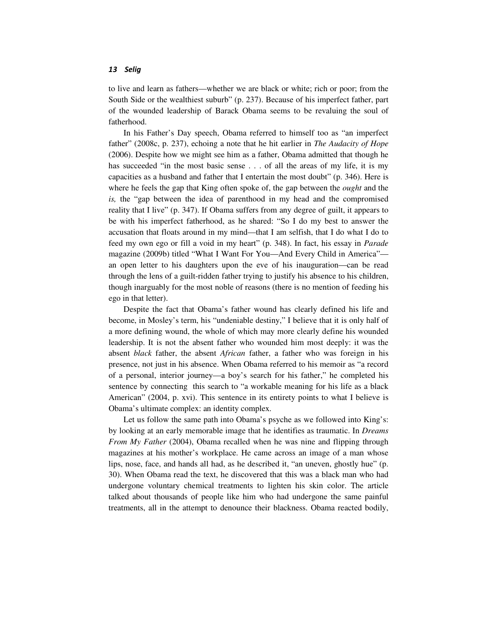to live and learn as fathers—whether we are black or white; rich or poor; from the South Side or the wealthiest suburb" (p. 237). Because of his imperfect father, part of the wounded leadership of Barack Obama seems to be revaluing the soul of fatherhood.

In his Father's Day speech, Obama referred to himself too as "an imperfect father" (2008c, p. 237), echoing a note that he hit earlier in *The Audacity of Hope*  (2006). Despite how we might see him as a father, Obama admitted that though he has succeeded "in the most basic sense . . . of all the areas of my life, it is my capacities as a husband and father that I entertain the most doubt" (p. 346). Here is where he feels the gap that King often spoke of, the gap between the *ought* and the *is,* the "gap between the idea of parenthood in my head and the compromised reality that I live" (p. 347). If Obama suffers from any degree of guilt, it appears to be with his imperfect fatherhood, as he shared: "So I do my best to answer the accusation that floats around in my mind—that I am selfish, that I do what I do to feed my own ego or fill a void in my heart" (p. 348). In fact, his essay in *Parade*  magazine (2009b) titled "What I Want For You—And Every Child in America" an open letter to his daughters upon the eve of his inauguration—can be read through the lens of a guilt-ridden father trying to justify his absence to his children, though inarguably for the most noble of reasons (there is no mention of feeding his ego in that letter).

Despite the fact that Obama's father wound has clearly defined his life and become, in Mosley's term, his "undeniable destiny," I believe that it is only half of a more defining wound, the whole of which may more clearly define his wounded leadership. It is not the absent father who wounded him most deeply: it was the absent *black* father, the absent *African* father, a father who was foreign in his presence, not just in his absence. When Obama referred to his memoir as "a record of a personal, interior journey—a boy's search for his father," he completed his sentence by connecting this search to "a workable meaning for his life as a black American" (2004, p. xvi). This sentence in its entirety points to what I believe is Obama's ultimate complex: an identity complex.

Let us follow the same path into Obama's psyche as we followed into King's: by looking at an early memorable image that he identifies as traumatic. In *Dreams From My Father* (2004), Obama recalled when he was nine and flipping through magazines at his mother's workplace. He came across an image of a man whose lips, nose, face, and hands all had, as he described it, "an uneven, ghostly hue" (p. 30). When Obama read the text, he discovered that this was a black man who had undergone voluntary chemical treatments to lighten his skin color. The article talked about thousands of people like him who had undergone the same painful treatments, all in the attempt to denounce their blackness. Obama reacted bodily,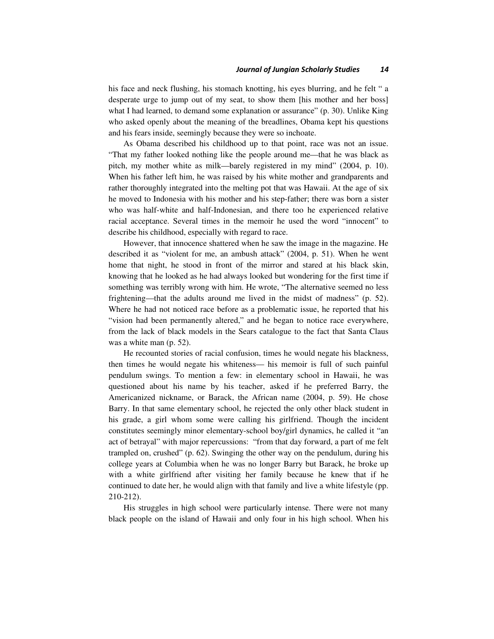his face and neck flushing, his stomach knotting, his eyes blurring, and he felt " a desperate urge to jump out of my seat, to show them [his mother and her boss] what I had learned, to demand some explanation or assurance" (p. 30). Unlike King who asked openly about the meaning of the breadlines, Obama kept his questions and his fears inside, seemingly because they were so inchoate.

As Obama described his childhood up to that point, race was not an issue. "That my father looked nothing like the people around me—that he was black as pitch, my mother white as milk—barely registered in my mind" (2004, p. 10). When his father left him, he was raised by his white mother and grandparents and rather thoroughly integrated into the melting pot that was Hawaii. At the age of six he moved to Indonesia with his mother and his step-father; there was born a sister who was half-white and half-Indonesian, and there too he experienced relative racial acceptance. Several times in the memoir he used the word "innocent" to describe his childhood, especially with regard to race.

However, that innocence shattered when he saw the image in the magazine. He described it as "violent for me, an ambush attack" (2004, p. 51). When he went home that night, he stood in front of the mirror and stared at his black skin, knowing that he looked as he had always looked but wondering for the first time if something was terribly wrong with him. He wrote, "The alternative seemed no less frightening—that the adults around me lived in the midst of madness" (p. 52). Where he had not noticed race before as a problematic issue, he reported that his "vision had been permanently altered," and he began to notice race everywhere, from the lack of black models in the Sears catalogue to the fact that Santa Claus was a white man (p. 52).

He recounted stories of racial confusion, times he would negate his blackness, then times he would negate his whiteness— his memoir is full of such painful pendulum swings. To mention a few: in elementary school in Hawaii, he was questioned about his name by his teacher, asked if he preferred Barry, the Americanized nickname, or Barack, the African name (2004, p. 59). He chose Barry. In that same elementary school, he rejected the only other black student in his grade, a girl whom some were calling his girlfriend. Though the incident constitutes seemingly minor elementary-school boy/girl dynamics, he called it "an act of betrayal" with major repercussions: "from that day forward, a part of me felt trampled on, crushed" (p. 62). Swinging the other way on the pendulum, during his college years at Columbia when he was no longer Barry but Barack, he broke up with a white girlfriend after visiting her family because he knew that if he continued to date her, he would align with that family and live a white lifestyle (pp. 210-212).

His struggles in high school were particularly intense. There were not many black people on the island of Hawaii and only four in his high school. When his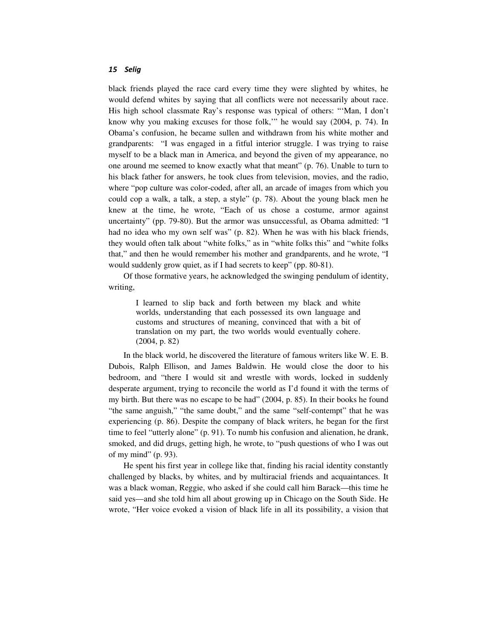black friends played the race card every time they were slighted by whites, he would defend whites by saying that all conflicts were not necessarily about race. His high school classmate Ray's response was typical of others: "'Man, I don't know why you making excuses for those folk,'" he would say (2004, p. 74). In Obama's confusion, he became sullen and withdrawn from his white mother and grandparents: "I was engaged in a fitful interior struggle. I was trying to raise myself to be a black man in America, and beyond the given of my appearance, no one around me seemed to know exactly what that meant" (p. 76). Unable to turn to his black father for answers, he took clues from television, movies, and the radio, where "pop culture was color-coded, after all, an arcade of images from which you could cop a walk, a talk, a step, a style" (p. 78). About the young black men he knew at the time, he wrote, "Each of us chose a costume, armor against uncertainty" (pp. 79-80). But the armor was unsuccessful, as Obama admitted: "I had no idea who my own self was" (p. 82). When he was with his black friends, they would often talk about "white folks," as in "white folks this" and "white folks that," and then he would remember his mother and grandparents, and he wrote, "I would suddenly grow quiet, as if I had secrets to keep" (pp. 80-81).

Of those formative years, he acknowledged the swinging pendulum of identity, writing,

I learned to slip back and forth between my black and white worlds, understanding that each possessed its own language and customs and structures of meaning, convinced that with a bit of translation on my part, the two worlds would eventually cohere. (2004, p. 82)

In the black world, he discovered the literature of famous writers like W. E. B. Dubois, Ralph Ellison, and James Baldwin. He would close the door to his bedroom, and "there I would sit and wrestle with words, locked in suddenly desperate argument, trying to reconcile the world as I'd found it with the terms of my birth. But there was no escape to be had" (2004, p. 85). In their books he found "the same anguish," "the same doubt," and the same "self-contempt" that he was experiencing (p. 86). Despite the company of black writers, he began for the first time to feel "utterly alone" (p. 91). To numb his confusion and alienation, he drank, smoked, and did drugs, getting high, he wrote, to "push questions of who I was out of my mind" (p. 93).

He spent his first year in college like that, finding his racial identity constantly challenged by blacks, by whites, and by multiracial friends and acquaintances. It was a black woman, Reggie, who asked if she could call him Barack—this time he said yes—and she told him all about growing up in Chicago on the South Side. He wrote, "Her voice evoked a vision of black life in all its possibility, a vision that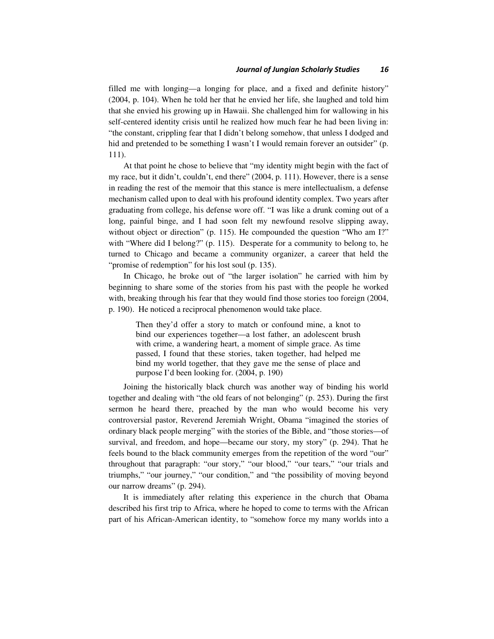filled me with longing—a longing for place, and a fixed and definite history" (2004, p. 104). When he told her that he envied her life, she laughed and told him that she envied his growing up in Hawaii. She challenged him for wallowing in his self-centered identity crisis until he realized how much fear he had been living in: "the constant, crippling fear that I didn't belong somehow, that unless I dodged and hid and pretended to be something I wasn't I would remain forever an outsider" (p. 111).

At that point he chose to believe that "my identity might begin with the fact of my race, but it didn't, couldn't, end there" (2004, p. 111). However, there is a sense in reading the rest of the memoir that this stance is mere intellectualism, a defense mechanism called upon to deal with his profound identity complex. Two years after graduating from college, his defense wore off. "I was like a drunk coming out of a long, painful binge, and I had soon felt my newfound resolve slipping away, without object or direction" (p. 115). He compounded the question "Who am I?" with "Where did I belong?" (p. 115). Desperate for a community to belong to, he turned to Chicago and became a community organizer, a career that held the "promise of redemption" for his lost soul (p. 135).

In Chicago, he broke out of "the larger isolation" he carried with him by beginning to share some of the stories from his past with the people he worked with, breaking through his fear that they would find those stories too foreign (2004, p. 190). He noticed a reciprocal phenomenon would take place.

Then they'd offer a story to match or confound mine, a knot to bind our experiences together—a lost father, an adolescent brush with crime, a wandering heart, a moment of simple grace. As time passed, I found that these stories, taken together, had helped me bind my world together, that they gave me the sense of place and purpose I'd been looking for. (2004, p. 190)

Joining the historically black church was another way of binding his world together and dealing with "the old fears of not belonging" (p. 253). During the first sermon he heard there, preached by the man who would become his very controversial pastor, Reverend Jeremiah Wright, Obama "imagined the stories of ordinary black people merging" with the stories of the Bible, and "those stories—of survival, and freedom, and hope—became our story, my story" (p. 294). That he feels bound to the black community emerges from the repetition of the word "our" throughout that paragraph: "our story," "our blood," "our tears," "our trials and triumphs," "our journey," "our condition," and "the possibility of moving beyond our narrow dreams" (p. 294).

It is immediately after relating this experience in the church that Obama described his first trip to Africa, where he hoped to come to terms with the African part of his African-American identity, to "somehow force my many worlds into a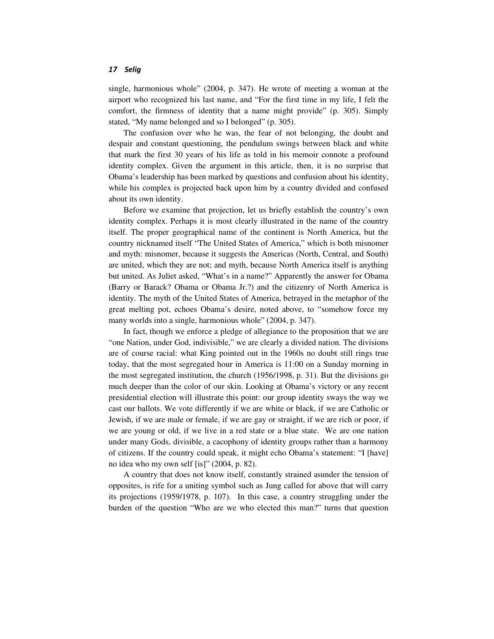single, harmonious whole" (2004, p. 347). He wrote of meeting a woman at the airport who recognized his last name, and "For the first time in my life, I felt the comfort, the firmness of identity that a name might provide" (p. 305). Simply stated, "My name belonged and so I belonged" (p. 305).

The confusion over who he was, the fear of not belonging, the doubt and despair and constant questioning, the pendulum swings between black and white that mark the first 30 years of his life as told in his memoir connote a profound identity complex. Given the argument in this article, then, it is no surprise that Obama's leadership has been marked by questions and confusion about his identity, while his complex is projected back upon him by a country divided and confused about its own identity.

Before we examine that projection, let us briefly establish the country's own identity complex. Perhaps it is most clearly illustrated in the name of the country itself. The proper geographical name of the continent is North America, but the country nicknamed itself "The United States of America," which is both misnomer and myth: misnomer, because it suggests the Americas (North, Central, and South) are united, which they are not; and myth, because North America itself is anything but united. As Juliet asked, "What's in a name?" Apparently the answer for Obama (Barry or Barack? Obama or Obama Jr.?) and the citizenry of North America is identity. The myth of the United States of America, betrayed in the metaphor of the great melting pot, echoes Obama's desire, noted above, to "somehow force my many worlds into a single, harmonious whole" (2004, p. 347).

In fact, though we enforce a pledge of allegiance to the proposition that we are "one Nation, under God, indivisible," we are clearly a divided nation. The divisions are of course racial: what King pointed out in the 1960s no doubt still rings true today, that the most segregated hour in America is 11:00 on a Sunday morning in the most segregated institution, the church (1956/1998, p. 31). But the divisions go much deeper than the color of our skin. Looking at Obama's victory or any recent presidential election will illustrate this point: our group identity sways the way we cast our ballots. We vote differently if we are white or black, if we are Catholic or Jewish, if we are male or female, if we are gay or straight, if we are rich or poor, if we are young or old, if we live in a red state or a blue state. We are one nation under many Gods, divisible, a cacophony of identity groups rather than a harmony of citizens. If the country could speak, it might echo Obama's statement: "I [have] no idea who my own self [is]" (2004, p. 82).

A country that does not know itself, constantly strained asunder the tension of opposites, is rife for a uniting symbol such as Jung called for above that will carry its projections (1959/1978, p. 107). In this case, a country struggling under the burden of the question "Who are we who elected this man?" turns that question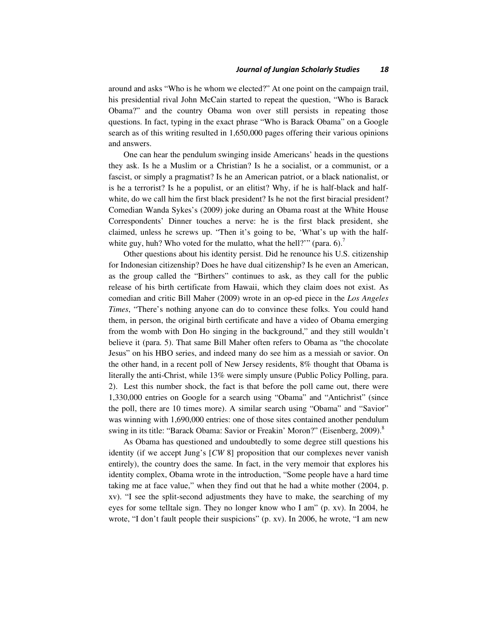around and asks "Who is he whom we elected?" At one point on the campaign trail, his presidential rival John McCain started to repeat the question, "Who is Barack Obama?" and the country Obama won over still persists in repeating those questions. In fact, typing in the exact phrase "Who is Barack Obama" on a Google search as of this writing resulted in 1,650,000 pages offering their various opinions and answers.

One can hear the pendulum swinging inside Americans' heads in the questions they ask. Is he a Muslim or a Christian? Is he a socialist, or a communist, or a fascist, or simply a pragmatist? Is he an American patriot, or a black nationalist, or is he a terrorist? Is he a populist, or an elitist? Why, if he is half-black and halfwhite, do we call him the first black president? Is he not the first biracial president? Comedian Wanda Sykes's (2009) joke during an Obama roast at the White House Correspondents' Dinner touches a nerve: he is the first black president, she claimed, unless he screws up. "Then it's going to be, 'What's up with the halfwhite guy, huh? Who voted for the mulatto, what the hell?" (para.  $6$ ).

Other questions about his identity persist. Did he renounce his U.S. citizenship for Indonesian citizenship? Does he have dual citizenship? Is he even an American, as the group called the "Birthers" continues to ask, as they call for the public release of his birth certificate from Hawaii, which they claim does not exist. As comedian and critic Bill Maher (2009) wrote in an op-ed piece in the *Los Angeles Times*, "There's nothing anyone can do to convince these folks. You could hand them, in person, the original birth certificate and have a video of Obama emerging from the womb with Don Ho singing in the background," and they still wouldn't believe it (para. 5). That same Bill Maher often refers to Obama as "the chocolate Jesus" on his HBO series, and indeed many do see him as a messiah or savior. On the other hand, in a recent poll of New Jersey residents, 8% thought that Obama is literally the anti-Christ, while 13% were simply unsure (Public Policy Polling, para. 2). Lest this number shock, the fact is that before the poll came out, there were 1,330,000 entries on Google for a search using "Obama" and "Antichrist" (since the poll, there are 10 times more). A similar search using "Obama" and "Savior" was winning with 1,690,000 entries: one of those sites contained another pendulum swing in its title: "Barack Obama: Savior or Freakin' Moron?" (Eisenberg, 2009).<sup>8</sup>

As Obama has questioned and undoubtedly to some degree still questions his identity (if we accept Jung's [*CW* 8] proposition that our complexes never vanish entirely), the country does the same. In fact, in the very memoir that explores his identity complex, Obama wrote in the introduction, "Some people have a hard time taking me at face value," when they find out that he had a white mother (2004, p. xv). "I see the split-second adjustments they have to make, the searching of my eyes for some telltale sign. They no longer know who I am" (p. xv). In 2004, he wrote, "I don't fault people their suspicions" (p. xv). In 2006, he wrote, "I am new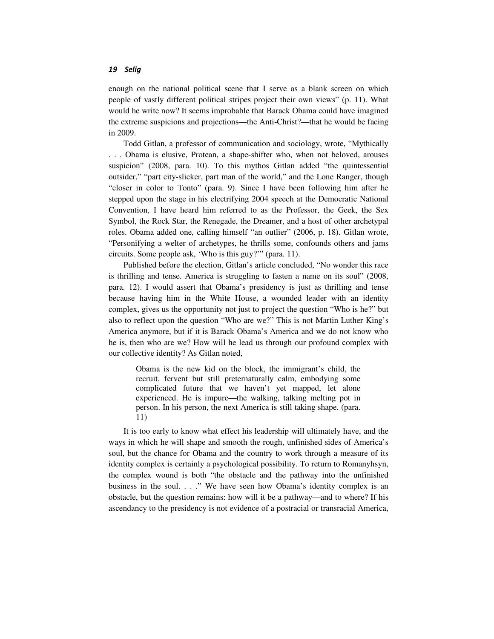enough on the national political scene that I serve as a blank screen on which people of vastly different political stripes project their own views" (p. 11). What would he write now? It seems improbable that Barack Obama could have imagined the extreme suspicions and projections—the Anti-Christ?—that he would be facing in 2009.

Todd Gitlan, a professor of communication and sociology, wrote, "Mythically . . . Obama is elusive, Protean, a shape-shifter who, when not beloved, arouses suspicion" (2008, para. 10). To this mythos Gitlan added "the quintessential outsider," "part city-slicker, part man of the world," and the Lone Ranger, though "closer in color to Tonto" (para. 9). Since I have been following him after he stepped upon the stage in his electrifying 2004 speech at the Democratic National Convention, I have heard him referred to as the Professor, the Geek, the Sex Symbol, the Rock Star, the Renegade, the Dreamer, and a host of other archetypal roles. Obama added one, calling himself "an outlier" (2006, p. 18). Gitlan wrote, "Personifying a welter of archetypes, he thrills some, confounds others and jams circuits. Some people ask, 'Who is this guy?'" (para. 11).

Published before the election, Gitlan's article concluded, "No wonder this race is thrilling and tense. America is struggling to fasten a name on its soul" (2008, para. 12). I would assert that Obama's presidency is just as thrilling and tense because having him in the White House, a wounded leader with an identity complex, gives us the opportunity not just to project the question "Who is he?" but also to reflect upon the question "Who are we?" This is not Martin Luther King's America anymore, but if it is Barack Obama's America and we do not know who he is, then who are we? How will he lead us through our profound complex with our collective identity? As Gitlan noted,

Obama is the new kid on the block, the immigrant's child, the recruit, fervent but still preternaturally calm, embodying some complicated future that we haven't yet mapped, let alone experienced. He is impure—the walking, talking melting pot in person. In his person, the next America is still taking shape. (para. 11)

It is too early to know what effect his leadership will ultimately have, and the ways in which he will shape and smooth the rough, unfinished sides of America's soul, but the chance for Obama and the country to work through a measure of its identity complex is certainly a psychological possibility. To return to Romanyhsyn, the complex wound is both "the obstacle and the pathway into the unfinished business in the soul. . . ." We have seen how Obama's identity complex is an obstacle, but the question remains: how will it be a pathway—and to where? If his ascendancy to the presidency is not evidence of a postracial or transracial America,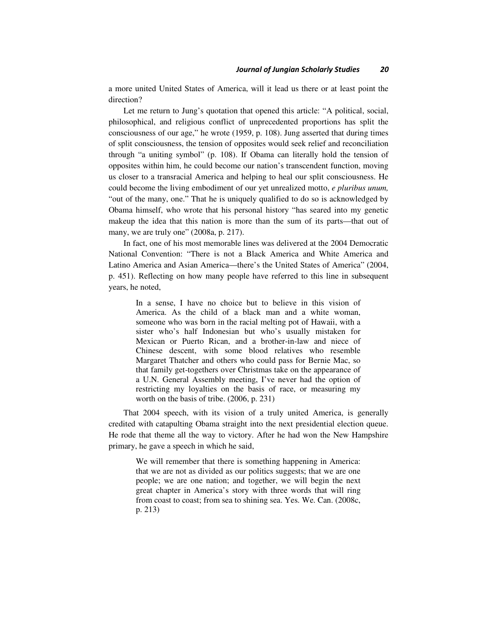a more united United States of America, will it lead us there or at least point the direction?

Let me return to Jung's quotation that opened this article: "A political, social, philosophical, and religious conflict of unprecedented proportions has split the consciousness of our age," he wrote (1959, p. 108). Jung asserted that during times of split consciousness, the tension of opposites would seek relief and reconciliation through "a uniting symbol" (p. 108). If Obama can literally hold the tension of opposites within him, he could become our nation's transcendent function, moving us closer to a transracial America and helping to heal our split consciousness. He could become the living embodiment of our yet unrealized motto, *e pluribus unum,* "out of the many, one." That he is uniquely qualified to do so is acknowledged by Obama himself, who wrote that his personal history "has seared into my genetic makeup the idea that this nation is more than the sum of its parts—that out of many, we are truly one" (2008a, p. 217).

In fact, one of his most memorable lines was delivered at the 2004 Democratic National Convention: "There is not a Black America and White America and Latino America and Asian America—there's the United States of America" (2004, p. 451). Reflecting on how many people have referred to this line in subsequent years, he noted,

In a sense, I have no choice but to believe in this vision of America. As the child of a black man and a white woman, someone who was born in the racial melting pot of Hawaii, with a sister who's half Indonesian but who's usually mistaken for Mexican or Puerto Rican, and a brother-in-law and niece of Chinese descent, with some blood relatives who resemble Margaret Thatcher and others who could pass for Bernie Mac, so that family get-togethers over Christmas take on the appearance of a U.N. General Assembly meeting, I've never had the option of restricting my loyalties on the basis of race, or measuring my worth on the basis of tribe. (2006, p. 231)

That 2004 speech, with its vision of a truly united America, is generally credited with catapulting Obama straight into the next presidential election queue. He rode that theme all the way to victory. After he had won the New Hampshire primary, he gave a speech in which he said,

We will remember that there is something happening in America: that we are not as divided as our politics suggests; that we are one people; we are one nation; and together, we will begin the next great chapter in America's story with three words that will ring from coast to coast; from sea to shining sea. Yes. We. Can. (2008c, p. 213)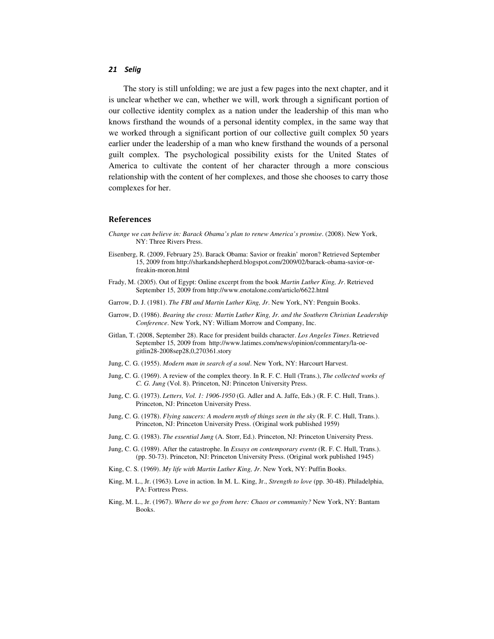The story is still unfolding; we are just a few pages into the next chapter, and it is unclear whether we can, whether we will, work through a significant portion of our collective identity complex as a nation under the leadership of this man who knows firsthand the wounds of a personal identity complex, in the same way that we worked through a significant portion of our collective guilt complex 50 years earlier under the leadership of a man who knew firsthand the wounds of a personal guilt complex. The psychological possibility exists for the United States of America to cultivate the content of her character through a more conscious relationship with the content of her complexes, and those she chooses to carry those complexes for her.

#### References

- *Change we can believe in: Barack Obama's plan to renew America's promise*. (2008). New York, NY: Three Rivers Press.
- Eisenberg, R. (2009, February 25). Barack Obama: Savior or freakin' moron? Retrieved September 15, 2009 from http://sharkandshepherd.blogspot.com/2009/02/barack-obama-savior-orfreakin-moron.html
- Frady, M. (2005). Out of Egypt: Online excerpt from the book *Martin Luther King, Jr*. Retrieved September 15, 2009 from http://www.enotalone.com/article/6622.html
- Garrow, D. J. (1981). *The FBI and Martin Luther King, Jr*. New York, NY: Penguin Books.
- Garrow, D. (1986). *Bearing the cross: Martin Luther King, Jr. and the Southern Christian Leadership Conference*. New York, NY: William Morrow and Company, Inc.
- Gitlan, T. (2008, September 28). Race for president builds character. *Los Angeles Times*. Retrieved September 15, 2009 from http://www.latimes.com/news/opinion/commentary/la-oegitlin28-2008sep28,0,270361.story
- Jung, C. G. (1955). *Modern man in search of a soul*. New York, NY: Harcourt Harvest.
- Jung, C. G. (1969). A review of the complex theory. In R. F. C. Hull (Trans.), *The collected works of C. G. Jung* (Vol. 8). Princeton, NJ: Princeton University Press.
- Jung, C. G. (1973). *Letters, Vol. 1: 1906-1950* (G. Adler and A. Jaffe, Eds.) (R. F. C. Hull, Trans.). Princeton, NJ: Princeton University Press.
- Jung, C. G. (1978). *Flying saucers: A modern myth of things seen in the sky* (R. F. C. Hull, Trans.). Princeton, NJ: Princeton University Press. (Original work published 1959)
- Jung, C. G. (1983). *The essential Jung* (A. Storr, Ed.). Princeton, NJ: Princeton University Press.
- Jung, C. G. (1989). After the catastrophe. In *Essays on contemporary events* (R. F. C. Hull, Trans.). (pp. 50-73). Princeton, NJ: Princeton University Press. (Original work published 1945)
- King, C. S. (1969). *My life with Martin Luther King, Jr*. New York, NY: Puffin Books.
- King, M. L., Jr. (1963). Love in action. In M. L. King, Jr., *Strength to love* (pp. 30-48). Philadelphia, PA: Fortress Press.
- King, M. L., Jr. (1967). *Where do we go from here: Chaos or community?* New York, NY: Bantam Books.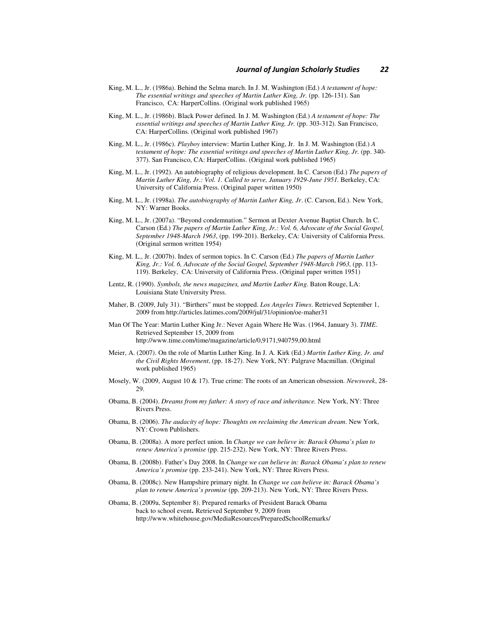- King, M. L., Jr. (1986a). Behind the Selma march. In J. M. Washington (Ed.) *A testament of hope: The essential writings and speeches of Martin Luther King, Jr.* (pp. 126-131). San Francisco, CA: HarperCollins. (Original work published 1965)
- King, M. L., Jr. (1986b). Black Power defined. In J. M. Washington (Ed.) *A testament of hope: The essential writings and speeches of Martin Luther King, Jr.* (pp. 303-312). San Francisco, CA: HarperCollins. (Original work published 1967)
- King, M. L., Jr. (1986c). *Playboy* interview: Martin Luther King, Jr. In J. M. Washington (Ed.) *A testament of hope: The essential writings and speeches of Martin Luther King, Jr.* (pp. 340- 377). San Francisco, CA: HarperCollins. (Original work published 1965)
- King, M. L., Jr. (1992). An autobiography of religious development. In C. Carson (Ed.) *The papers of Martin Luther King, Jr.: Vol. 1. Called to serve, January 1929-June 1951. Berkeley, CA:* University of California Press. (Original paper written 1950)
- King, M. L., Jr. (1998a). *The autobiography of Martin Luther King, Jr*. (C. Carson, Ed.). New York, NY: Warner Books.
- King, M. L., Jr. (2007a). "Beyond condemnation." Sermon at Dexter Avenue Baptist Church. In C. Carson (Ed.) *The papers of Martin Luther King, Jr.: Vol. 6, Advocate of the Social Gospel, September 1948-March 1963*, (pp. 199-201). Berkeley, CA: University of California Press. (Original sermon written 1954)
- King, M. L., Jr. (2007b). Index of sermon topics. In C. Carson (Ed.) *The papers of Martin Luther King, Jr.: Vol. 6, Advocate of the Social Gospel, September 1948-March 1963*, (pp. 113- 119). Berkeley, CA: University of California Press. (Original paper written 1951)
- Lentz, R. (1990). *Symbols, the news magazines, and Martin Luther King*. Baton Rouge, LA: Louisiana State University Press.
- Maher, B. (2009, July 31). "Birthers" must be stopped. *Los Angeles Times*. Retrieved September 1, 2009 from http://articles.latimes.com/2009/jul/31/opinion/oe-maher31
- Man Of The Year: Martin Luther King Jr.: Never Again Where He Was. (1964, January 3). *TIME*. Retrieved September 15, 2009 from http://www.time.com/time/magazine/article/0,9171,940759,00.html
- Meier, A. (2007). On the role of Martin Luther King. In J. A. Kirk (Ed.) *Martin Luther King, Jr. and the Civil Rights Movement*, (pp. 18-27). New York, NY: Palgrave Macmillan. (Original work published 1965)
- Mosely, W. (2009, August 10 & 17). True crime: The roots of an American obsession. *Newsweek*, 28- 29.
- Obama, B. (2004). *Dreams from my father: A story of race and inheritance.* New York, NY: Three Rivers Press.
- Obama, B. (2006). *The audacity of hope: Thoughts on reclaiming the American dream*. New York, NY: Crown Publishers.
- Obama, B. (2008a). A more perfect union. In *Change we can believe in: Barack Obama's plan to renew America's promise* (pp. 215-232). New York, NY: Three Rivers Press.
- Obama, B. (2008b). Father's Day 2008. In *Change we can believe in: Barack Obama's plan to renew America's promise* (pp. 233-241). New York, NY: Three Rivers Press.
- Obama, B. (2008c). New Hampshire primary night. In *Change we can believe in: Barack Obama's plan to renew America's promise* (pp. 209-213). New York, NY: Three Rivers Press.
- Obama, B. (2009a, September 8). Prepared remarks of President Barack Obama back to school event. Retrieved September 9, 2009 from http://www.whitehouse.gov/MediaResources/PreparedSchoolRemarks/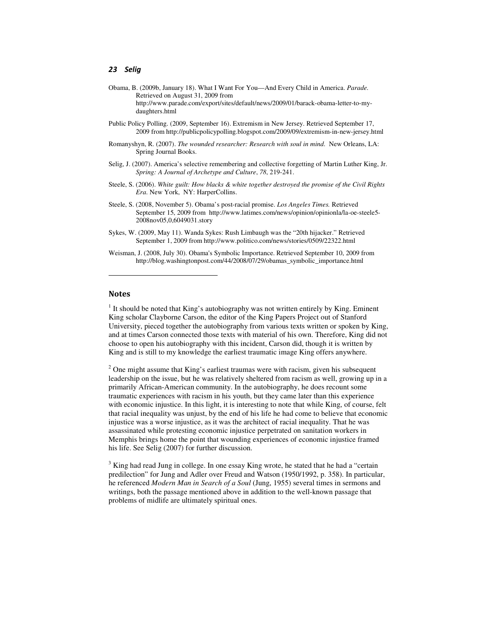- Obama, B. (2009b, January 18). What I Want For You—And Every Child in America. *Parade.*  Retrieved on August 31, 2009 from http://www.parade.com/export/sites/default/news/2009/01/barack-obama-letter-to-mydaughters.html
- Public Policy Polling. (2009, September 16). Extremism in New Jersey. Retrieved September 17, 2009 from http://publicpolicypolling.blogspot.com/2009/09/extremism-in-new-jersey.html
- Romanyshyn, R. (2007). *The wounded researcher: Research with soul in mind*. New Orleans, LA: Spring Journal Books.
- Selig, J. (2007). America's selective remembering and collective forgetting of Martin Luther King, Jr. *Spring: A Journal of Archetype and Culture*, *78*, 219-241.
- Steele, S. (2006). *White guilt: How blacks & white together destroyed the promise of the Civil Rights Era*. New York, NY: HarperCollins.
- Steele, S. (2008, November 5). Obama's post-racial promise. *Los Angeles Times.* Retrieved September 15, 2009 from http://www.latimes.com/news/opinion/opinionla/la-oe-steele5- 2008nov05,0,6049031.story
- Sykes, W. (2009, May 11). Wanda Sykes: Rush Limbaugh was the "20th hijacker." Retrieved September 1, 2009 from http://www.politico.com/news/stories/0509/22322.html
- Weisman, J. (2008, July 30). Obama's Symbolic Importance. Retrieved September 10, 2009 from http://blog.washingtonpost.com/44/2008/07/29/obamas\_symbolic\_importance.html

# **Notes**

l

 $<sup>1</sup>$  It should be noted that King's autobiography was not written entirely by King. Eminent</sup> King scholar Clayborne Carson, the editor of the King Papers Project out of Stanford University, pieced together the autobiography from various texts written or spoken by King, and at times Carson connected those texts with material of his own. Therefore, King did not choose to open his autobiography with this incident, Carson did, though it is written by King and is still to my knowledge the earliest traumatic image King offers anywhere.

 $2^2$  One might assume that King's earliest traumas were with racism, given his subsequent leadership on the issue, but he was relatively sheltered from racism as well, growing up in a primarily African-American community. In the autobiography, he does recount some traumatic experiences with racism in his youth, but they came later than this experience with economic injustice. In this light, it is interesting to note that while King, of course, felt that racial inequality was unjust, by the end of his life he had come to believe that economic injustice was a worse injustice, as it was the architect of racial inequality. That he was assassinated while protesting economic injustice perpetrated on sanitation workers in Memphis brings home the point that wounding experiences of economic injustice framed his life. See Selig (2007) for further discussion.

<sup>3</sup> King had read Jung in college. In one essay King wrote, he stated that he had a "certain predilection" for Jung and Adler over Freud and Watson (1950/1992, p. 358). In particular, he referenced *Modern Man in Search of a Soul* (Jung, 1955) several times in sermons and writings, both the passage mentioned above in addition to the well-known passage that problems of midlife are ultimately spiritual ones.